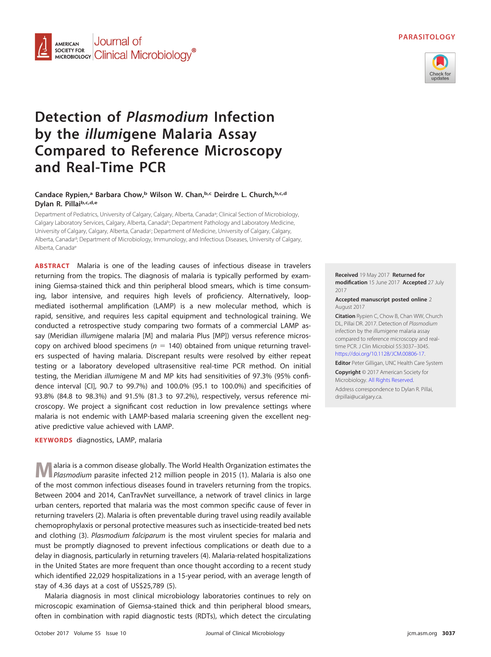# **PARASITOLOGY**



### Journal of **AMERICAN** SOCIETY FOR **SOCIETY FOR COLORED CONTROL** MIC**robiology**<sup>®</sup>

# **Detection of Plasmodium Infection by the illumigene Malaria Assay Compared to Reference Microscopy and Real-Time PCR**

## **Candace Rypien,a Barbara Chow,b Wilson W. Chan,b,c Deirdre L. Church,b,c,d Dylan R. Pillaib,c,d,e**

Department of Pediatrics, University of Calgary, Calgary, Alberta, Canada<sup>a</sup>; Clinical Section of Microbiology, Calgary Laboratory Services, Calgary, Alberta, Canada<sup>b</sup>; Department Pathology and Laboratory Medicine, University of Calgary, Calgary, Alberta, Canada<sup>c</sup>; Department of Medicine, University of Calgary, Calgary, Alberta, Canadad; Department of Microbiology, Immunology, and Infectious Diseases, University of Calgary, Alberta, Canadae

**ABSTRACT** Malaria is one of the leading causes of infectious disease in travelers returning from the tropics. The diagnosis of malaria is typically performed by examining Giemsa-stained thick and thin peripheral blood smears, which is time consuming, labor intensive, and requires high levels of proficiency. Alternatively, loopmediated isothermal amplification (LAMP) is a new molecular method, which is rapid, sensitive, and requires less capital equipment and technological training. We conducted a retrospective study comparing two formats of a commercial LAMP assay (Meridian illumigene malaria [M] and malaria Plus [MP]) versus reference microscopy on archived blood specimens ( $n = 140$ ) obtained from unique returning travelers suspected of having malaria. Discrepant results were resolved by either repeat testing or a laboratory developed ultrasensitive real-time PCR method. On initial testing, the Meridian illumigene M and MP kits had sensitivities of 97.3% (95% confidence interval [CI], 90.7 to 99.7%) and 100.0% (95.1 to 100.0%) and specificities of 93.8% (84.8 to 98.3%) and 91.5% (81.3 to 97.2%), respectively, versus reference microscopy. We project a significant cost reduction in low prevalence settings where malaria is not endemic with LAMP-based malaria screening given the excellent negative predictive value achieved with LAMP.

**KEYWORDS** diagnostics, LAMP, malaria

**M**alaria is a common disease globally. The World Health Organization estimates the Plasmodium parasite infected 212 million people in 2015 [\(1\)](#page-7-0). Malaria is also one of the most common infectious diseases found in travelers returning from the tropics. Between 2004 and 2014, CanTravNet surveillance, a network of travel clinics in large urban centers, reported that malaria was the most common specific cause of fever in returning travelers [\(2\)](#page-7-1). Malaria is often preventable during travel using readily available chemoprophylaxis or personal protective measures such as insecticide-treated bed nets and clothing [\(3\)](#page-7-2). Plasmodium falciparum is the most virulent species for malaria and must be promptly diagnosed to prevent infectious complications or death due to a delay in diagnosis, particularly in returning travelers [\(4\)](#page-7-3). Malaria-related hospitalizations in the United States are more frequent than once thought according to a recent study which identified 22,029 hospitalizations in a 15-year period, with an average length of stay of 4.36 days at a cost of US\$25,789 [\(5\)](#page-7-4).

Malaria diagnosis in most clinical microbiology laboratories continues to rely on microscopic examination of Giemsa-stained thick and thin peripheral blood smears, often in combination with rapid diagnostic tests (RDTs), which detect the circulating

**Received** 19 May 2017 **Returned for modification** 15 June 2017 **Accepted** 27 July 2017

**Accepted manuscript posted online** 2 August 2017

**Citation** Rypien C, Chow B, Chan WW, Church DL, Pillai DR. 2017. Detection of Plasmodium infection by the illumigene malaria assay compared to reference microscopy and realtime PCR. J Clin Microbiol 55:3037–3045. [https://doi.org/10.1128/JCM.00806-17.](https://doi.org/10.1128/JCM.00806-17)

**Editor** Peter Gilligan, UNC Health Care System

**Copyright** © 2017 American Society for Microbiology. [All Rights Reserved.](https://doi.org/10.1128/ASMCopyrightv1)

Address correspondence to Dylan R. Pillai, [drpillai@ucalgary.ca.](mailto:drpillai@ucalgary.ca)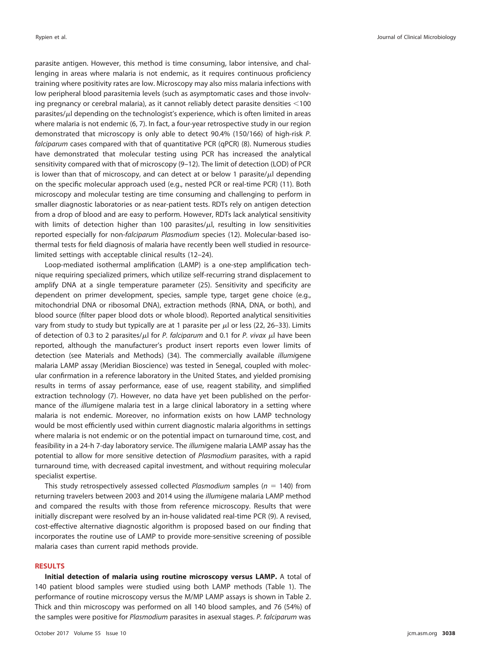parasite antigen. However, this method is time consuming, labor intensive, and challenging in areas where malaria is not endemic, as it requires continuous proficiency training where positivity rates are low. Microscopy may also miss malaria infections with low peripheral blood parasitemia levels (such as asymptomatic cases and those involving pregnancy or cerebral malaria), as it cannot reliably detect parasite densities  $<$ 100 parasites/ $\mu$ l depending on the technologist's experience, which is often limited in areas where malaria is not endemic [\(6,](#page-7-5) [7\)](#page-7-6). In fact, a four-year retrospective study in our region demonstrated that microscopy is only able to detect 90.4% (150/166) of high-risk P. falciparum cases compared with that of quantitative PCR (qPCR) [\(8\)](#page-7-7). Numerous studies have demonstrated that molecular testing using PCR has increased the analytical sensitivity compared with that of microscopy [\(9](#page-7-8)[–](#page-7-9)[12\)](#page-8-0). The limit of detection (LOD) of PCR is lower than that of microscopy, and can detect at or below 1 parasite/ $\mu$ l depending on the specific molecular approach used (e.g., nested PCR or real-time PCR) [\(11\)](#page-7-9). Both microscopy and molecular testing are time consuming and challenging to perform in smaller diagnostic laboratories or as near-patient tests. RDTs rely on antigen detection from a drop of blood and are easy to perform. However, RDTs lack analytical sensitivity with limits of detection higher than 100 parasites/ $\mu$ l, resulting in low sensitivities reported especially for non-falciparum Plasmodium species [\(12\)](#page-8-0). Molecular-based isothermal tests for field diagnosis of malaria have recently been well studied in resourcelimited settings with acceptable clinical results [\(12](#page-8-0)[–](#page-8-1)[24\)](#page-8-2).

Loop-mediated isothermal amplification (LAMP) is a one-step amplification technique requiring specialized primers, which utilize self-recurring strand displacement to amplify DNA at a single temperature parameter [\(25\)](#page-8-3). Sensitivity and specificity are dependent on primer development, species, sample type, target gene choice (e.g., mitochondrial DNA or ribosomal DNA), extraction methods (RNA, DNA, or both), and blood source (filter paper blood dots or whole blood). Reported analytical sensitivities vary from study to study but typically are at 1 parasite per  $\mu$ l or less [\(22,](#page-8-4) [26](#page-8-5)[–](#page-8-6)[33\)](#page-8-7). Limits of detection of 0.3 to 2 parasites/ $\mu$ l for P. falciparum and 0.1 for P. vivax  $\mu$ l have been reported, although the manufacturer's product insert reports even lower limits of detection (see Materials and Methods) [\(34\)](#page-8-8). The commercially available illumigene malaria LAMP assay (Meridian Bioscience) was tested in Senegal, coupled with molecular confirmation in a reference laboratory in the United States, and yielded promising results in terms of assay performance, ease of use, reagent stability, and simplified extraction technology [\(7\)](#page-7-6). However, no data have yet been published on the performance of the *illumi*gene malaria test in a large clinical laboratory in a setting where malaria is not endemic. Moreover, no information exists on how LAMP technology would be most efficiently used within current diagnostic malaria algorithms in settings where malaria is not endemic or on the potential impact on turnaround time, cost, and feasibility in a 24-h 7-day laboratory service. The illumigene malaria LAMP assay has the potential to allow for more sensitive detection of Plasmodium parasites, with a rapid turnaround time, with decreased capital investment, and without requiring molecular specialist expertise.

This study retrospectively assessed collected Plasmodium samples ( $n = 140$ ) from returning travelers between 2003 and 2014 using the illumigene malaria LAMP method and compared the results with those from reference microscopy. Results that were initially discrepant were resolved by an in-house validated real-time PCR [\(9\)](#page-7-8). A revised, cost-effective alternative diagnostic algorithm is proposed based on our finding that incorporates the routine use of LAMP to provide more-sensitive screening of possible malaria cases than current rapid methods provide.

## **RESULTS**

**Initial detection of malaria using routine microscopy versus LAMP.** A total of 140 patient blood samples were studied using both LAMP methods [\(Table 1\)](#page-2-0). The performance of routine microscopy versus the M/MP LAMP assays is shown in [Table 2.](#page-2-1) Thick and thin microscopy was performed on all 140 blood samples, and 76 (54%) of the samples were positive for Plasmodium parasites in asexual stages. P. falciparum was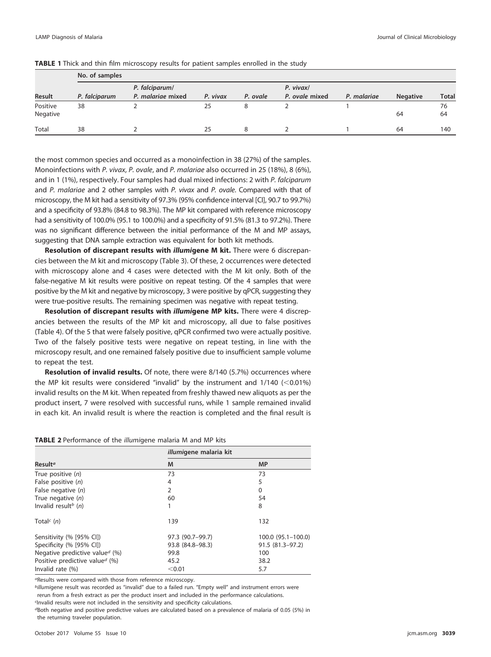|                      | No. of samples |                                     |          |          |                             |             |                 |              |  |  |  |
|----------------------|----------------|-------------------------------------|----------|----------|-----------------------------|-------------|-----------------|--------------|--|--|--|
| <b>Result</b>        | P. falciparum  | P. falciparum/<br>P. malariae mixed | P. vivax | P. ovale | P. vivax/<br>P. ovale mixed | P. malariae | <b>Negative</b> | <b>Total</b> |  |  |  |
| Positive<br>Negative | 38             |                                     | 25       | 8        |                             |             | 64              | 76<br>64     |  |  |  |
| Total                | 38             |                                     | 25       | 8        |                             |             | 64              | 140          |  |  |  |

<span id="page-2-0"></span>

the most common species and occurred as a monoinfection in 38 (27%) of the samples. Monoinfections with P. vivax, P. ovale, and P. malariae also occurred in 25 (18%), 8 (6%), and in 1 (1%), respectively. Four samples had dual mixed infections: 2 with P. falciparum and P. malariae and 2 other samples with P. vivax and P. ovale. Compared with that of microscopy, the M kit had a sensitivity of 97.3% (95% confidence interval [CI], 90.7 to 99.7%) and a specificity of 93.8% (84.8 to 98.3%). The MP kit compared with reference microscopy had a sensitivity of 100.0% (95.1 to 100.0%) and a specificity of 91.5% (81.3 to 97.2%). There was no significant difference between the initial performance of the M and MP assays, suggesting that DNA sample extraction was equivalent for both kit methods.

**Resolution of discrepant results with** *illumi***gene M kit.** There were 6 discrepancies between the M kit and microscopy [\(Table 3\)](#page-3-0). Of these, 2 occurrences were detected with microscopy alone and 4 cases were detected with the M kit only. Both of the false-negative M kit results were positive on repeat testing. Of the 4 samples that were positive by the M kit and negative by microscopy, 3 were positive by qPCR, suggesting they were true-positive results. The remaining specimen was negative with repeat testing.

**Resolution of discrepant results with** *illumi***gene MP kits.** There were 4 discrepancies between the results of the MP kit and microscopy, all due to false positives [\(Table 4\)](#page-3-1). Of the 5 that were falsely positive, qPCR confirmed two were actually positive. Two of the falsely positive tests were negative on repeat testing, in line with the microscopy result, and one remained falsely positive due to insufficient sample volume to repeat the test.

**Resolution of invalid results.** Of note, there were 8/140 (5.7%) occurrences where the MP kit results were considered "invalid" by the instrument and  $1/140$  (<0.01%) invalid results on the M kit. When repeated from freshly thawed new aliquots as per the product insert, 7 were resolved with successful runs, while 1 sample remained invalid in each kit. An invalid result is where the reaction is completed and the final result is

<span id="page-2-1"></span>

|  |  | TABLE 2 Performance of the <i>illumigene</i> malaria M and MP kits |  |  |  |  |  |  |  |  |
|--|--|--------------------------------------------------------------------|--|--|--|--|--|--|--|--|
|--|--|--------------------------------------------------------------------|--|--|--|--|--|--|--|--|

|                                                     | <i>illumi</i> gene malaria kit |                      |
|-----------------------------------------------------|--------------------------------|----------------------|
| Result <sup>a</sup>                                 | M                              | <b>MP</b>            |
| True positive $(n)$                                 | 73                             | 73                   |
| False positive $(n)$                                | 4                              | 5                    |
| False negative (n)                                  | $\overline{2}$                 | 0                    |
| True negative $(n)$                                 | 60                             | 54                   |
| Invalid result <sup>b</sup> $(n)$                   | 1                              | 8                    |
| Total <sup><math>\epsilon</math></sup> ( <i>n</i> ) | 139                            | 132                  |
| Sensitivity (% [95% CI])                            | 97.3 (90.7–99.7)               | $100.0$ (95.1-100.0) |
| Specificity (% [95% CI])                            | 93.8 (84.8-98.3)               | 91.5 (81.3-97.2)     |
| Negative predictive value <sup>d</sup> (%)          | 99.8                           | 100                  |
| Positive predictive value <sup>d</sup> (%)          | 45.2                           | 38.2                 |
| Invalid rate $(\%)$                                 | < 0.01                         | 5.7                  |

aResults were compared with those from reference microscopy.

billumigene result was recorded as "invalid" due to a failed run. "Empty well" and instrument errors were rerun from a fresh extract as per the product insert and included in the performance calculations.

c Invalid results were not included in the sensitivity and specificity calculations.

dBoth negative and positive predictive values are calculated based on a prevalence of malaria of 0.05 (5%) in the returning traveler population.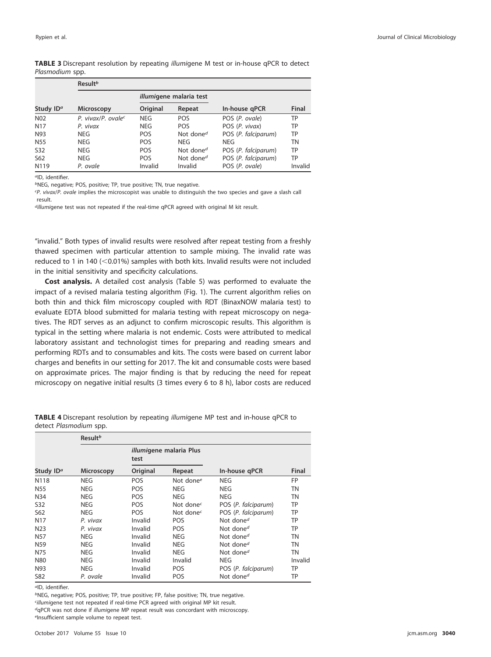<span id="page-3-0"></span>

| TABLE 3 Discrepant resolution by repeating illumigene M test or in-house qPCR to detect |  |  |  |  |
|-----------------------------------------------------------------------------------------|--|--|--|--|
| Plasmodium spp.                                                                         |  |  |  |  |

|                       | Result <sup>b</sup>            |            |                                 |                     |         |  |  |  |  |
|-----------------------|--------------------------------|------------|---------------------------------|---------------------|---------|--|--|--|--|
|                       |                                |            | <i>illumi</i> gene malaria test |                     |         |  |  |  |  |
| Study ID <sup>a</sup> | <b>Microscopy</b>              | Original   | Repeat                          | In-house gPCR       | Final   |  |  |  |  |
| N <sub>02</sub>       | P. vivax/P. ovale <sup>c</sup> | <b>NEG</b> | <b>POS</b>                      | POS (P. ovale)      | TP      |  |  |  |  |
| N <sub>17</sub>       | P. vivax                       | <b>NEG</b> | <b>POS</b>                      | POS (P. vivax)      | TP      |  |  |  |  |
| N93                   | NEG.                           | <b>POS</b> | Not done <sup>d</sup>           | POS (P. falciparum) | TP      |  |  |  |  |
| N <sub>55</sub>       | NEG.                           | <b>POS</b> | <b>NEG</b>                      | NEG                 | TN      |  |  |  |  |
| S32                   | NEG.                           | <b>POS</b> | Not done <sup>d</sup>           | POS (P. falciparum) | TP      |  |  |  |  |
| S <sub>62</sub>       | NEG.                           | <b>POS</b> | Not done <sup>d</sup>           | POS (P. falciparum) | TP      |  |  |  |  |
| N119                  | P. ovale                       | Invalid    | Invalid                         | POS (P. ovale)      | Invalid |  |  |  |  |

<sup>a</sup>ID, identifier.

bNEG, negative; POS, positive; TP, true positive; TN, true negative.

cP. vivax/P. ovale implies the microscopist was unable to distinguish the two species and gave a slash call result.

dillumigene test was not repeated if the real-time qPCR agreed with original M kit result.

"invalid." Both types of invalid results were resolved after repeat testing from a freshly thawed specimen with particular attention to sample mixing. The invalid rate was reduced to 1 in 140 ( $<$  0.01%) samples with both kits. Invalid results were not included in the initial sensitivity and specificity calculations.

**Cost analysis.** A detailed cost analysis [\(Table 5\)](#page-4-0) was performed to evaluate the impact of a revised malaria testing algorithm [\(Fig. 1\)](#page-4-1). The current algorithm relies on both thin and thick film microscopy coupled with RDT (BinaxNOW malaria test) to evaluate EDTA blood submitted for malaria testing with repeat microscopy on negatives. The RDT serves as an adjunct to confirm microscopic results. This algorithm is typical in the setting where malaria is not endemic. Costs were attributed to medical laboratory assistant and technologist times for preparing and reading smears and performing RDTs and to consumables and kits. The costs were based on current labor charges and benefits in our setting for 2017. The kit and consumable costs were based on approximate prices. The major finding is that by reducing the need for repeat microscopy on negative initial results (3 times every 6 to 8 h), labor costs are reduced

|                       | Result <sup>b</sup> |            |                                    |                       |              |  |  |  |  |
|-----------------------|---------------------|------------|------------------------------------|-----------------------|--------------|--|--|--|--|
|                       |                     | test       | <i>illumi</i> gene malaria Plus    |                       |              |  |  |  |  |
| Study ID <sup>a</sup> | <b>Microscopy</b>   | Original   | Repeat                             | In-house qPCR         | <b>Final</b> |  |  |  |  |
| N118                  | <b>NEG</b>          | <b>POS</b> | Not done <sup>e</sup>              | <b>NEG</b>            | FP           |  |  |  |  |
| N <sub>55</sub>       | <b>NEG</b>          | POS        | NEG                                | <b>NEG</b>            | ΤN           |  |  |  |  |
| N34                   | <b>NEG</b>          | <b>POS</b> | NEG                                | <b>NEG</b>            | TN           |  |  |  |  |
| S32                   | <b>NEG</b>          | POS        | Not done <sup><math>c</math></sup> | POS (P. falciparum)   | TP           |  |  |  |  |
| S62                   | <b>NEG</b>          | POS        | Not done <sup><math>c</math></sup> | POS (P. falciparum)   | TP           |  |  |  |  |
| N <sub>17</sub>       | P. vivax            | Invalid    | POS                                | Not done <sup>d</sup> | ТP           |  |  |  |  |
| N <sub>23</sub>       | P. vivax            | Invalid    | POS                                | Not done <sup>d</sup> | ТP           |  |  |  |  |
| N <sub>57</sub>       | <b>NEG</b>          | Invalid    | <b>NEG</b>                         | Not done <sup>d</sup> | ΤN           |  |  |  |  |
| N <sub>59</sub>       | <b>NEG</b>          | Invalid    | <b>NEG</b>                         | Not done <sup>d</sup> | ΤN           |  |  |  |  |
| N75                   | <b>NEG</b>          | Invalid    | <b>NEG</b>                         | Not done <sup>d</sup> | <b>TN</b>    |  |  |  |  |
| <b>N80</b>            | <b>NEG</b>          | Invalid    | Invalid                            | <b>NEG</b>            | Invalid      |  |  |  |  |
| N93                   | <b>NEG</b>          | Invalid    | POS                                | POS (P. falciparum)   | ТP           |  |  |  |  |
| S82                   | P. ovale            | Invalid    | POS                                | Not done <sup>d</sup> | ТP           |  |  |  |  |

<span id="page-3-1"></span>**TABLE 4** Discrepant resolution by repeating illumigene MP test and in-house qPCR to detect Plasmodium spp.

aID, identifier.

bNEG, negative; POS, positive; TP, true positive; FP, false positive; TN, true negative. c illumigene test not repeated if real-time PCR agreed with original MP kit result. dqPCR was not done if illumigene MP repeat result was concordant with microscopy. eInsufficient sample volume to repeat test.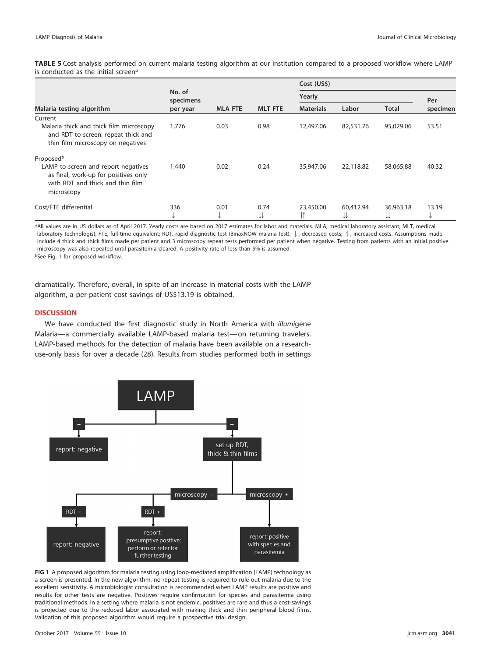<span id="page-4-0"></span>**TABLE 5** Cost analysis performed on current malaria testing algorithm at our institution compared to a proposed workflow where LAMP is conducted as the initial screen $a$ 

|                                                                                                                               |                     |                |                | Cost (US\$)      |           |                |            |
|-------------------------------------------------------------------------------------------------------------------------------|---------------------|----------------|----------------|------------------|-----------|----------------|------------|
|                                                                                                                               | No. of<br>specimens |                |                | Yearly           |           | Per            |            |
| Malaria testing algorithm                                                                                                     | per year            | <b>MLA FTE</b> | <b>MLT FTE</b> | <b>Materials</b> | Labor     | <b>Total</b>   | specimen   |
| Current                                                                                                                       |                     |                |                |                  |           |                |            |
| Malaria thick and thick film microscopy<br>and RDT to screen, repeat thick and<br>thin film microscopy on negatives           | 1,776               | 0.03           | 0.98           | 12,497.06        | 82,531.76 | 95,029.06      | 53.51      |
| Proposed <sup>b</sup>                                                                                                         |                     |                |                |                  |           |                |            |
| LAMP to screen and report negatives<br>as final, work-up for positives only<br>with RDT and thick and thin film<br>microscopy | 1,440               | 0.02           | 0.24           | 35,947.06        | 22,118.82 | 58,065.88      | 40.32      |
| Cost/FTE differential                                                                                                         | 336<br>◡            | 0.01<br>◡      | 0.74<br>⇊      | 23,450.00<br>⇈   | 60,412.94 | 36,963.18<br>⇊ | 13.19<br>∿ |

aAll values are in US dollars as of April 2017. Yearly costs are based on 2017 estimates for labor and materials. MLA, medical laboratory assistant; MLT, medical laboratory technologist; FTE, full-time equivalent; RDT, rapid diagnostic test (BinaxNOW malaria test);  $\downarrow$ , decreased costs;  $\uparrow$ , increased costs. Assumptions made include 4 thick and thick films made per patient and 3 microscopy repeat tests performed per patient when negative. Testing from patients with an initial positive microscopy was also repeated until parasitemia cleared. A positivity rate of less than 5% is assumed. bSee [Fig. 1](#page-4-1) for proposed workflow.

dramatically. Therefore, overall, in spite of an increase in material costs with the LAMP algorithm, a per-patient cost savings of US\$13.19 is obtained.

## **DISCUSSION**

We have conducted the first diagnostic study in North America with illumigene Malaria—a commercially available LAMP-based malaria test— on returning travelers. LAMP-based methods for the detection of malaria have been available on a researchuse-only basis for over a decade [\(28\)](#page-8-9). Results from studies performed both in settings



<span id="page-4-1"></span>**FIG 1** A proposed algorithm for malaria testing using loop-mediated amplification (LAMP) technology as a screen is presented. In the new algorithm, no repeat testing is required to rule out malaria due to the excellent sensitivity. A microbiologist consultation is recommended when LAMP results are positive and results for other tests are negative. Positives require confirmation for species and parasitemia using traditional methods. In a setting where malaria is not endemic, positives are rare and thus a cost-savings is projected due to the reduced labor associated with making thick and thin peripheral blood films. Validation of this proposed algorithm would require a prospective trial design.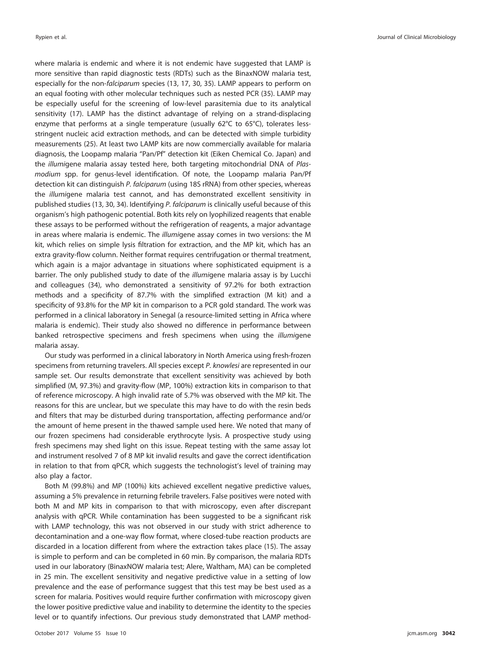where malaria is endemic and where it is not endemic have suggested that LAMP is more sensitive than rapid diagnostic tests (RDTs) such as the BinaxNOW malaria test, especially for the non-falciparum species [\(13,](#page-8-10) [17,](#page-8-11) [30,](#page-8-12) [35\)](#page-8-13). LAMP appears to perform on an equal footing with other molecular techniques such as nested PCR [\(35\)](#page-8-13). LAMP may be especially useful for the screening of low-level parasitemia due to its analytical sensitivity [\(17\)](#page-8-11). LAMP has the distinct advantage of relying on a strand-displacing enzyme that performs at a single temperature (usually 62°C to 65°C), tolerates lessstringent nucleic acid extraction methods, and can be detected with simple turbidity measurements [\(25\)](#page-8-3). At least two LAMP kits are now commercially available for malaria diagnosis, the Loopamp malaria "Pan/Pf" detection kit (Eiken Chemical Co. Japan) and the illumigene malaria assay tested here, both targeting mitochondrial DNA of Plasmodium spp. for genus-level identification. Of note, the Loopamp malaria Pan/Pf detection kit can distinguish P. falciparum (using 18S rRNA) from other species, whereas the illumigene malaria test cannot, and has demonstrated excellent sensitivity in published studies [\(13,](#page-8-10) [30,](#page-8-12) [34\)](#page-8-8). Identifying P. falciparum is clinically useful because of this organism's high pathogenic potential. Both kits rely on lyophilized reagents that enable these assays to be performed without the refrigeration of reagents, a major advantage in areas where malaria is endemic. The illumigene assay comes in two versions: the M kit, which relies on simple lysis filtration for extraction, and the MP kit, which has an extra gravity-flow column. Neither format requires centrifugation or thermal treatment, which again is a major advantage in situations where sophisticated equipment is a barrier. The only published study to date of the illumigene malaria assay is by Lucchi and colleagues [\(34\)](#page-8-8), who demonstrated a sensitivity of 97.2% for both extraction methods and a specificity of 87.7% with the simplified extraction (M kit) and a specificity of 93.8% for the MP kit in comparison to a PCR gold standard. The work was performed in a clinical laboratory in Senegal (a resource-limited setting in Africa where malaria is endemic). Their study also showed no difference in performance between banked retrospective specimens and fresh specimens when using the illumigene malaria assay.

Our study was performed in a clinical laboratory in North America using fresh-frozen specimens from returning travelers. All species except P. knowlesi are represented in our sample set. Our results demonstrate that excellent sensitivity was achieved by both simplified (M, 97.3%) and gravity-flow (MP, 100%) extraction kits in comparison to that of reference microscopy. A high invalid rate of 5.7% was observed with the MP kit. The reasons for this are unclear, but we speculate this may have to do with the resin beds and filters that may be disturbed during transportation, affecting performance and/or the amount of heme present in the thawed sample used here. We noted that many of our frozen specimens had considerable erythrocyte lysis. A prospective study using fresh specimens may shed light on this issue. Repeat testing with the same assay lot and instrument resolved 7 of 8 MP kit invalid results and gave the correct identification in relation to that from qPCR, which suggests the technologist's level of training may also play a factor.

Both M (99.8%) and MP (100%) kits achieved excellent negative predictive values, assuming a 5% prevalence in returning febrile travelers. False positives were noted with both M and MP kits in comparison to that with microscopy, even after discrepant analysis with qPCR. While contamination has been suggested to be a significant risk with LAMP technology, this was not observed in our study with strict adherence to decontamination and a one-way flow format, where closed-tube reaction products are discarded in a location different from where the extraction takes place [\(15\)](#page-8-14). The assay is simple to perform and can be completed in 60 min. By comparison, the malaria RDTs used in our laboratory (BinaxNOW malaria test; Alere, Waltham, MA) can be completed in 25 min. The excellent sensitivity and negative predictive value in a setting of low prevalence and the ease of performance suggest that this test may be best used as a screen for malaria. Positives would require further confirmation with microscopy given the lower positive predictive value and inability to determine the identity to the species level or to quantify infections. Our previous study demonstrated that LAMP method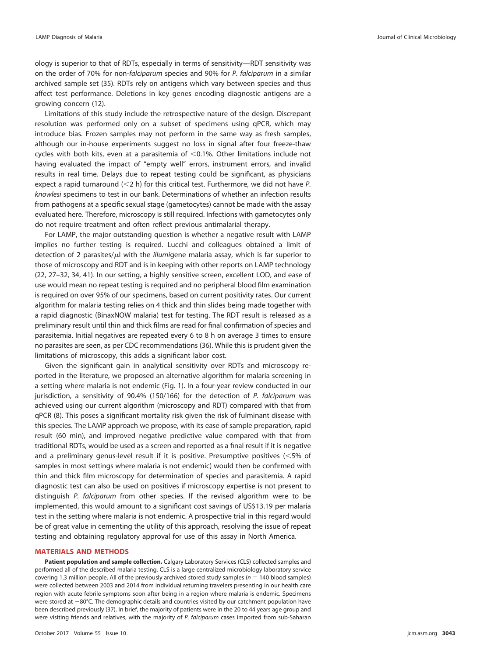ology is superior to that of RDTs, especially in terms of sensitivity—RDT sensitivity was on the order of 70% for non-falciparum species and 90% for P. falciparum in a similar archived sample set [\(35\)](#page-8-13). RDTs rely on antigens which vary between species and thus affect test performance. Deletions in key genes encoding diagnostic antigens are a growing concern [\(12\)](#page-8-0).

Limitations of this study include the retrospective nature of the design. Discrepant resolution was performed only on a subset of specimens using qPCR, which may introduce bias. Frozen samples may not perform in the same way as fresh samples, although our in-house experiments suggest no loss in signal after four freeze-thaw cycles with both kits, even at a parasitemia of  $<$  0.1%. Other limitations include not having evaluated the impact of "empty well" errors, instrument errors, and invalid results in real time. Delays due to repeat testing could be significant, as physicians expect a rapid turnaround  $\langle$  < 2 h) for this critical test. Furthermore, we did not have P. knowlesi specimens to test in our bank. Determinations of whether an infection results from pathogens at a specific sexual stage (gametocytes) cannot be made with the assay evaluated here. Therefore, microscopy is still required. Infections with gametocytes only do not require treatment and often reflect previous antimalarial therapy.

For LAMP, the major outstanding question is whether a negative result with LAMP implies no further testing is required. Lucchi and colleagues obtained a limit of detection of 2 parasites/µl with the *illumi*gene malaria assay, which is far superior to those of microscopy and RDT and is in keeping with other reports on LAMP technology [\(22,](#page-8-4) [27](#page-8-15)[–](#page-8-16)[32,](#page-8-6) [34,](#page-8-8) [41\)](#page-8-17). In our setting, a highly sensitive screen, excellent LOD, and ease of use would mean no repeat testing is required and no peripheral blood film examination is required on over 95% of our specimens, based on current positivity rates. Our current algorithm for malaria testing relies on 4 thick and thin slides being made together with a rapid diagnostic (BinaxNOW malaria) test for testing. The RDT result is released as a preliminary result until thin and thick films are read for final confirmation of species and parasitemia. Initial negatives are repeated every 6 to 8 h on average 3 times to ensure no parasites are seen, as per CDC recommendations [\(36\)](#page-8-18). While this is prudent given the limitations of microscopy, this adds a significant labor cost.

Given the significant gain in analytical sensitivity over RDTs and microscopy reported in the literature, we proposed an alternative algorithm for malaria screening in a setting where malaria is not endemic [\(Fig. 1\)](#page-4-1). In a four-year review conducted in our jurisdiction, a sensitivity of 90.4% (150/166) for the detection of P. falciparum was achieved using our current algorithm (microscopy and RDT) compared with that from qPCR [\(8\)](#page-7-7). This poses a significant mortality risk given the risk of fulminant disease with this species. The LAMP approach we propose, with its ease of sample preparation, rapid result (60 min), and improved negative predictive value compared with that from traditional RDTs, would be used as a screen and reported as a final result if it is negative and a preliminary genus-level result if it is positive. Presumptive positives  $(<$ 5% of samples in most settings where malaria is not endemic) would then be confirmed with thin and thick film microscopy for determination of species and parasitemia. A rapid diagnostic test can also be used on positives if microscopy expertise is not present to distinguish P. falciparum from other species. If the revised algorithm were to be implemented, this would amount to a significant cost savings of US\$13.19 per malaria test in the setting where malaria is not endemic. A prospective trial in this regard would be of great value in cementing the utility of this approach, resolving the issue of repeat testing and obtaining regulatory approval for use of this assay in North America.

## **MATERIALS AND METHODS**

**Patient population and sample collection.** Calgary Laboratory Services (CLS) collected samples and performed all of the described malaria testing. CLS is a large centralized microbiology laboratory service covering 1.3 million people. All of the previously archived stored study samples ( $n = 140$  blood samples) were collected between 2003 and 2014 from individual returning travelers presenting in our health care region with acute febrile symptoms soon after being in a region where malaria is endemic. Specimens were stored at  $-80^{\circ}$ C. The demographic details and countries visited by our catchment population have been described previously [\(37\)](#page-8-19). In brief, the majority of patients were in the 20 to 44 years age group and were visiting friends and relatives, with the majority of P. falciparum cases imported from sub-Saharan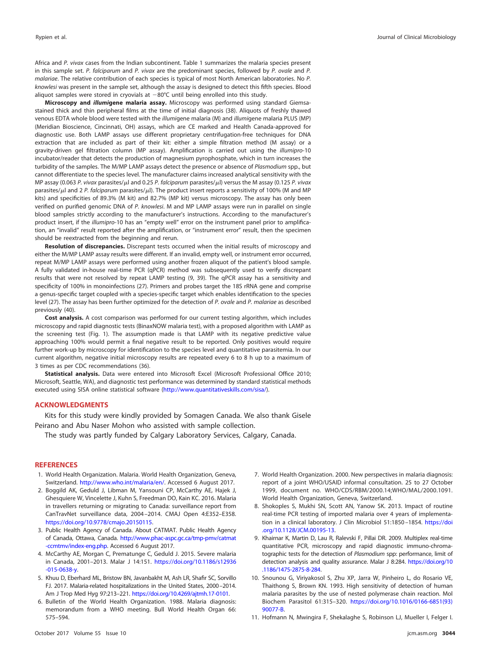Africa and P. vivax cases from the Indian subcontinent. [Table 1](#page-2-0) summarizes the malaria species present in this sample set. P. falciparum and P. vivax are the predominant species, followed by P. ovale and P. malariae. The relative contribution of each species is typical of most North American laboratories. No P. knowlesi was present in the sample set, although the assay is designed to detect this fifth species. Blood aliquot samples were stored in cryovials at  $-80^{\circ}$ C until being enrolled into this study.

**Microscopy and** *illumi***gene malaria assay.** Microscopy was performed using standard Giemsastained thick and thin peripheral films at the time of initial diagnosis [\(38\)](#page-8-20). Aliquots of freshly thawed venous EDTA whole blood were tested with the illumigene malaria (M) and illumigene malaria PLUS (MP) (Meridian Bioscience, Cincinnati, OH) assays, which are CE marked and Health Canada-approved for diagnostic use. Both LAMP assays use different proprietary centrifugation-free techniques for DNA extraction that are included as part of their kit: either a simple filtration method (M assay) or a gravity-driven gel filtration column (MP assay). Amplification is carried out using the illumipro-10 incubator/reader that detects the production of magnesium pyrophosphate, which in turn increases the turbidity of the samples. The M/MP LAMP assays detect the presence or absence of Plasmodium spp., but cannot differentiate to the species level. The manufacturer claims increased analytical sensitivity with the MP assay (0.063 P. vivax parasites/ $\mu$ l and 0.25 P. falciparum parasites/ $\mu$ l) versus the M assay (0.125 P. vivax parasites/ $\mu$ l and 2 P. falciparum parasites/ $\mu$ l). The product insert reports a sensitivity of 100% (M and MP kits) and specificities of 89.3% (M kit) and 82.7% (MP kit) versus microscopy. The assay has only been verified on purified genomic DNA of P. knowlesi. M and MP LAMP assays were run in parallel on single blood samples strictly according to the manufacturer's instructions. According to the manufacturer's product insert, if the illumipro-10 has an "empty well" error on the instrument panel prior to amplification, an "invalid" result reported after the amplification, or "instrument error" result, then the specimen should be reextracted from the beginning and rerun.

**Resolution of discrepancies.** Discrepant tests occurred when the initial results of microscopy and either the M/MP LAMP assay results were different. If an invalid, empty well, or instrument error occurred, repeat M/MP LAMP assays were performed using another frozen aliquot of the patient's blood sample. A fully validated in-house real-time PCR (qPCR) method was subsequently used to verify discrepant results that were not resolved by repeat LAMP testing [\(9,](#page-7-8) [39\)](#page-8-21). The qPCR assay has a sensitivity and specificity of 100% in monoinfections [\(27\)](#page-8-15). Primers and probes target the 18S rRNA gene and comprise a genus-specific target coupled with a species-specific target which enables identification to the species level [\(27\)](#page-8-15). The assay has been further optimized for the detection of P. ovale and P. malariae as described previously [\(40\)](#page-8-22).

**Cost analysis.** A cost comparison was performed for our current testing algorithm, which includes microscopy and rapid diagnostic tests (BinaxNOW malaria test), with a proposed algorithm with LAMP as the screening test [\(Fig. 1\)](#page-4-1). The assumption made is that LAMP with its negative predictive value approaching 100% would permit a final negative result to be reported. Only positives would require further work-up by microscopy for identification to the species level and quantitative parasitemia. In our current algorithm, negative initial microscopy results are repeated every 6 to 8 h up to a maximum of 3 times as per CDC recommendations [\(36\)](#page-8-18).

**Statistical analysis.** Data were entered into Microsoft Excel (Microsoft Professional Office 2010; Microsoft, Seattle, WA), and diagnostic test performance was determined by standard statistical methods executed using SISA online statistical software [\(http://www.quantitativeskills.com/sisa/\)](http://www.quantitativeskills.com/sisa/).

### **ACKNOWLEDGMENTS**

Kits for this study were kindly provided by Somagen Canada. We also thank Gisele Peirano and Abu Naser Mohon who assisted with sample collection.

The study was partly funded by Calgary Laboratory Services, Calgary, Canada.

## <span id="page-7-0"></span>**REFERENCES**

- <span id="page-7-1"></span>1. World Health Organization. Malaria. World Health Organization, Geneva, Switzerland. [http://www.who.int/malaria/en/.](http://www.who.int/malaria/en/) Accessed 6 August 2017.
- 2. Boggild AK, Geduld J, Libman M, Yansouni CP, McCarthy AE, Hajek J, Ghesquiere W, Vincelette J, Kuhn S, Freedman DO, Kain KC. 2016. Malaria in travellers returning or migrating to Canada: surveillance report from CanTravNet surveillance data, 2004 –2014. CMAJ Open 4:E352–E358. [https://doi.org/10.9778/cmajo.20150115.](https://doi.org/10.9778/cmajo.20150115)
- <span id="page-7-3"></span><span id="page-7-2"></span>3. Public Health Agency of Canada. About CATMAT. Public Health Agency of Canada, Ottawa, Canada. [http://www.phac-aspc.gc.ca/tmp-pmv/catmat](http://www.phac-aspc.gc.ca/tmp-pmv/catmat-ccmtmv/index-eng.php) [-ccmtmv/index-eng.php.](http://www.phac-aspc.gc.ca/tmp-pmv/catmat-ccmtmv/index-eng.php) Accessed 6 August 2017.
- <span id="page-7-4"></span>4. McCarthy AE, Morgan C, Prematunge C, Geduld J. 2015. Severe malaria in Canada, 2001–2013. Malar J 14:151. [https://doi.org/10.1186/s12936](https://doi.org/10.1186/s12936-015-0638-y) [-015-0638-y.](https://doi.org/10.1186/s12936-015-0638-y)
- <span id="page-7-5"></span>5. Khuu D, Eberhard ML, Bristow BN, Javanbakht M, Ash LR, Shafir SC, Sorvillo FJ. 2017. Malaria-related hospitalizations in the United States, 2000 –2014. Am J Trop Med Hyg 97:213-221. [https://doi.org/10.4269/ajtmh.17-0101.](https://doi.org/10.4269/ajtmh.17-0101)
- 6. Bulletin of the World Health Organization. 1988. Malaria diagnosis: memorandum from a WHO meeting. Bull World Health Organ 66: 575–594.
- <span id="page-7-6"></span>7. World Health Organization. 2000. New perspectives in malaria diagnosis: report of a joint WHO/USAID informal consultation. 25 to 27 October 1999, document no. WHO/CDS/RBM/2000.14;WHO/MAL/2000.1091. World Health Organization, Geneva, Switzerland.
- <span id="page-7-7"></span>8. Shokoples S, Mukhi SN, Scott AN, Yanow SK. 2013. Impact of routine real-time PCR testing of imported malaria over 4 years of implementation in a clinical laboratory. J Clin Microbiol 51:1850 –1854. [https://doi](https://doi.org/10.1128/JCM.00195-13) [.org/10.1128/JCM.00195-13.](https://doi.org/10.1128/JCM.00195-13)
- <span id="page-7-8"></span>9. Khairnar K, Martin D, Lau R, Ralevski F, Pillai DR. 2009. Multiplex real-time quantitative PCR, microscopy and rapid diagnostic immuno-chromatographic tests for the detection of Plasmodium spp: performance, limit of detection analysis and quality assurance. Malar J 8:284. [https://doi.org/10](https://doi.org/10.1186/1475-2875-8-284) [.1186/1475-2875-8-284.](https://doi.org/10.1186/1475-2875-8-284)
- 10. Snounou G, Viriyakosol S, Zhu XP, Jarra W, Pinheiro L, do Rosario VE, Thaithong S, Brown KN. 1993. High sensitivity of detection of human malaria parasites by the use of nested polymerase chain reaction. Mol Biochem Parasitol 61:315–320. [https://doi.org/10.1016/0166-6851\(93\)](https://doi.org/10.1016/0166-6851(93)90077-B) [90077-B.](https://doi.org/10.1016/0166-6851(93)90077-B)
- <span id="page-7-9"></span>11. Hofmann N, Mwingira F, Shekalaghe S, Robinson LJ, Mueller I, Felger I.